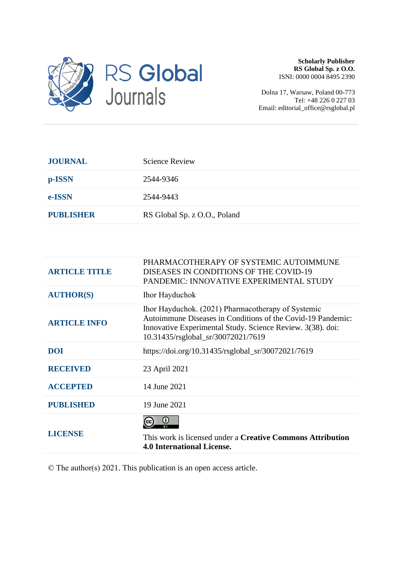

**Scholarly Publisher RS Global Sp. z O.O.** ISNI: 0000 0004 8495 2390

Dolna 17, Warsaw, Poland 00-773 Tel: +48 226 0 227 03 Email: editorial\_office@rsglobal.pl

| <b>JOURNAL</b>   | <b>Science Review</b>        |
|------------------|------------------------------|
| p-ISSN           | 2544-9346                    |
| e-ISSN           | 2544-9443                    |
| <b>PUBLISHER</b> | RS Global Sp. z O.O., Poland |

| <b>ARTICLE TITLE</b> | PHARMACOTHERAPY OF SYSTEMIC AUTOIMMUNE<br>DISEASES IN CONDITIONS OF THE COVID-19<br>PANDEMIC: INNOVATIVE EXPERIMENTAL STUDY                                                                                           |
|----------------------|-----------------------------------------------------------------------------------------------------------------------------------------------------------------------------------------------------------------------|
| <b>AUTHOR(S)</b>     | <b>Ihor Hayduchok</b>                                                                                                                                                                                                 |
| <b>ARTICLE INFO</b>  | Ihor Hayduchok. (2021) Pharmacotherapy of Systemic<br>Autoimmune Diseases in Conditions of the Covid-19 Pandemic:<br>Innovative Experimental Study. Science Review. 3(38). doi:<br>10.31435/rsglobal_sr/30072021/7619 |
| <b>DOI</b>           | https://doi.org/10.31435/rsglobal_sr/30072021/7619                                                                                                                                                                    |
| <b>RECEIVED</b>      | 23 April 2021                                                                                                                                                                                                         |
| <b>ACCEPTED</b>      | 14 June 2021                                                                                                                                                                                                          |
| <b>PUBLISHED</b>     | 19 June 2021                                                                                                                                                                                                          |
| <b>LICENSE</b>       | (i)<br>This work is licensed under a <b>Creative Commons Attribution</b><br><b>4.0 International License.</b>                                                                                                         |

© The author(s) 2021. This publication is an open access article.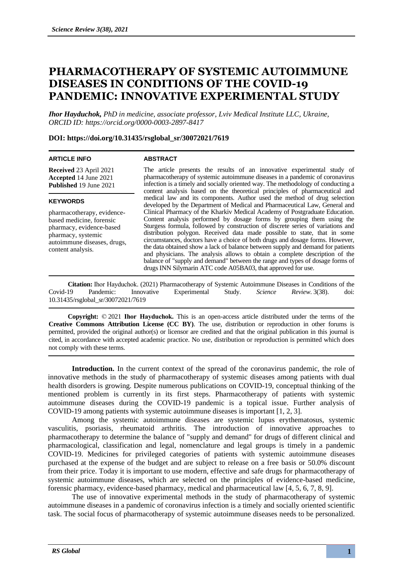# **PHARMACOTHERAPY OF SYSTEMIC AUTOIMMUNE DISEASES IN CONDITIONS OF THE COVID-19 PANDEMIC: INNOVATIVE EXPERIMENTAL STUDY**

*Іhor Hayduchok, PhD in medicine, associate professor, Lviv Medical Institute LLC, Ukraine, ORCID ID: https://orcid.org/0000-0003-2897-8417*

## **DOI: https://doi.org/10.31435/rsglobal\_sr/30072021/7619**

## **ARTICLE INFO**

#### **ABSTRACT**

**Received** 23 April 2021 **Accepted** 14 June 2021 **Published** 19 June 2021

## **KEYWORDS**

pharmacotherapy, evidencebased medicine, forensic pharmacy, evidence-based pharmacy, systemic autoimmune diseases, drugs, content analysis.

The article presents the results of an innovative experimental study of pharmacotherapy of systemic autoimmune diseases in a pandemic of coronavirus infection is a timely and socially oriented way. The methodology of conducting a content analysis based on the theoretical principles of pharmaceutical and medical law and its components. Author used the method of drug selection developed by the Department of Medical and Pharmaceutical Law, General and Clinical Pharmacy of the Kharkiv Medical Academy of Postgraduate Education. Content analysis performed by dosage forms by grouping them using the Sturgess formula, followed by construction of discrete series of variations and distribution polygon. Received data made possible to state, that in some circumstances, doctors have a choice of both drugs and dosage forms. However, the data obtained show a lack of balance between supply and demand for patients and physicians. The analysis allows to obtain a complete description of the balance of "supply and demand" between the range and types of dosage forms of drugs INN Silymarin ATC code A05BA03, that approved for use.

**Citation:** Іhor Hayduchok. (2021) Pharmacotherapy of Systemic Autoimmune Diseases in Conditions of the Covid-19 Pandemic: Innovative Experimental Study. *Science Review*. 3(38). doi: 10.31435/rsglobal\_sr/30072021/7619

**Copyright:** © 2021 **Іhor Hayduchok.** This is an open-access article distributed under the terms of the **Creative Commons Attribution License (CC BY)**. The use, distribution or reproduction in other forums is permitted, provided the original author(s) or licensor are credited and that the original publication in this journal is cited, in accordance with accepted academic practice. No use, distribution or reproduction is permitted which does not comply with these terms.

**Introduction.** In the current context of the spread of the coronavirus pandemic, the role of innovative methods in the study of pharmacotherapy of systemic diseases among patients with dual health disorders is growing. Despite numerous publications on COVID-19, conceptual thinking of the mentioned problem is currently in its first steps. Pharmacotherapy of patients with systemic autoimmune diseases during the COVID-19 pandemic is a topical issue. Further analysis of COVID-19 among patients with systemic autoimmune diseases is important [1, 2, 3].

Among the systemic autoimmune diseases are systemic lupus erythematosus, systemic vasculitis, psoriasis, rheumatoid arthritis. The introduction of innovative approaches to pharmacotherapy to determine the balance of "supply and demand" for drugs of different clinical and pharmacological, classification and legal, nomenclature and legal groups is timely in a pandemic COVID-19. Medicines for privileged categories of patients with systemic autoimmune diseases purchased at the expense of the budget and are subject to release on a free basis or 50.0% discount from their price. Today it is important to use modern, effective and safe drugs for pharmacotherapy of systemic autoimmune diseases, which are selected on the principles of evidence-based medicine, forensic pharmacy, evidence-based pharmacy, medical and pharmaceutical law [4, 5, 6, 7, 8, 9].

The use of innovative experimental methods in the study of pharmacotherapy of systemic autoimmune diseases in a pandemic of coronavirus infection is a timely and socially oriented scientific task. The social focus of pharmacotherapy of systemic autoimmune diseases needs to be personalized.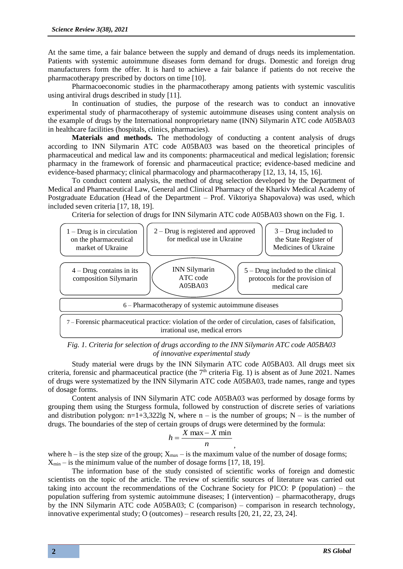At the same time, a fair balance between the supply and demand of drugs needs its implementation. Patients with systemic autoimmune diseases form demand for drugs. Domestic and foreign drug manufacturers form the offer. It is hard to achieve a fair balance if patients do not receive the pharmacotherapy prescribed by doctors on time [10].

Pharmacoeconomic studies in the pharmacotherapy among patients with systemic vasculitis using antiviral drugs described in study [11].

In continuation of studies, the purpose of the research was to conduct an innovative experimental study of pharmacotherapy of systemic autoimmune diseases using content analysis on the example of drugs by the International nonproprietary name (INN) Silymarin ATC code A05BA03 in healthcare facilities (hospitals, clinics, pharmacies).

**Materials and methods.** The methodology of conducting a content analysis of drugs according to INN Silymarin ATC code A05BA03 was based on the theoretical principles of pharmaceutical and medical law and its components: pharmaceutical and medical legislation; forensic pharmacy in the framework of forensic and pharmaceutical practice; evidence-based medicine and evidence-based pharmacy; clinical pharmacology and pharmacotherapy [12, 13, 14, 15, 16].

To conduct content analysis, the method of drug selection developed by the Department of Medical and Pharmaceutical Law, General and Clinical Pharmacy of the Kharkiv Medical Academy of Postgraduate Education (Head of the Department – Prof. Viktoriya Shapovalova) was used, which included seven criteria [17, 18, 19].

Criteria for selection of drugs for INN Silymarin ATC code A05BA03 shown on the Fig. 1.



*Fig. 1. Criteria for selection of drugs according to the INN Silymarin ATC code A05BA03 of innovative experimental study*

Study material were drugs by the INN Silymarin ATC code A05BA03. All drugs meet six criteria, forensic and pharmaceutical practice (the 7<sup>th</sup> criteria Fig. 1) is absent as of June 2021. Names of drugs were systematized by the INN Silymarin ATC code A05BA03, trade names, range and types of dosage forms.

Content analysis of INN Silymarin ATC code A05BA03 was performed by dosage forms by grouping them using the Sturgess formula, followed by construction of discrete series of variations and distribution polygon:  $n=1+3,322\lg N$ , where  $n - is$  the number of groups; N – is the number of drugs. The boundaries of the step of certain groups of drugs were determined by the formula:

$$
h = \frac{X \max - X \min}{n}
$$

where h – is the step size of the group;  $X_{\text{max}}$  – is the maximum value of the number of dosage forms;  $X_{\text{min}}$  – is the minimum value of the number of dosage forms [17, 18, 19].

The information base of the study consisted of scientific works of foreign and domestic scientists on the topic of the article. The review of scientific sources of literature was carried out taking into account the recommendations of the Cochrane Society for PICO: P (population) – the population suffering from systemic autoimmune diseases; I (intervention) – pharmacotherapy, drugs by the INN Silymarin ATC code A05BA03; C (comparison) – comparison in research technology, innovative experimental study; O (outcomes) – research results [20, 21, 22, 23, 24].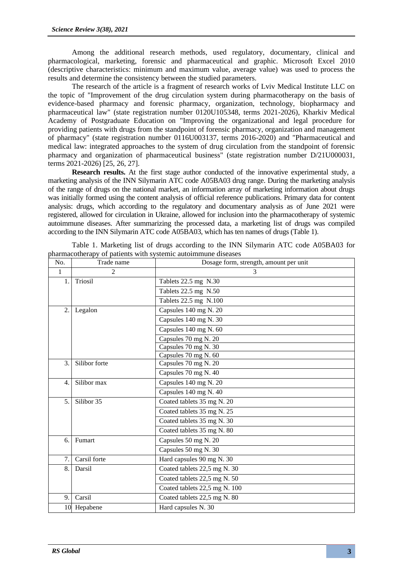Among the additional research methods, used regulatory, documentary, clinical and pharmacological, marketing, forensic and pharmaceutical and graphic. Microsoft Excel 2010 (descriptive characteristics: minimum and maximum value, average value) was used to process the results and determine the consistency between the studied parameters.

The research of the article is a fragment of research works of Lviv Medical Institute LLC on the topic of "Improvement of the drug circulation system during pharmacotherapy on the basis of evidence-based pharmacy and forensic pharmacy, organization, technology, biopharmacy and pharmaceutical law" (state registration number 0120U105348, terms 2021-2026), Kharkiv Medical Academy of Postgraduate Education on "Improving the organizational and legal procedure for providing patients with drugs from the standpoint of forensic pharmacy, organization and management of pharmacy" (state registration number 0116U003137, terms 2016-2020) and "Pharmaceutical and medical law: integrated approaches to the system of drug circulation from the standpoint of forensic pharmacy and organization of pharmaceutical business" (state registration number D/21U000031, terms 2021-2026) [25, 26, 27].

**Research results.** At the first stage author conducted of the innovative experimental study, a marketing analysis of the INN Silymarin ATC code A05BA03 drug range. During the marketing analysis of the range of drugs on the national market, an information array of marketing information about drugs was initially formed using the content analysis of official reference publications. Primary data for content analysis: drugs, which according to the regulatory and documentary analysis as of June 2021 were registered, allowed for circulation in Ukraine, allowed for inclusion into the pharmacotherapy of systemic autoimmune diseases. After summarizing the processed data, a marketing list of drugs was compiled according to the INN Silymarin ATC code A05BA03, which has ten names of drugs (Table 1).

| No.                                        | Trade name                               | Dosage form, strength, amount per unit |  |
|--------------------------------------------|------------------------------------------|----------------------------------------|--|
| $\mathbf{1}$                               | $\overline{2}$                           | 3                                      |  |
| 1.                                         | Triosil                                  | Tablets 22.5 mg N.30                   |  |
|                                            |                                          | Tablets 22.5 mg N.50                   |  |
|                                            |                                          | Tablets 22.5 mg N.100                  |  |
| $\overline{2}$ .                           | Capsules 140 mg N. 20<br>Legalon         |                                        |  |
|                                            |                                          | Capsules 140 mg N. 30                  |  |
|                                            |                                          | Capsules 140 mg N. 60                  |  |
|                                            |                                          | Capsules 70 mg N. 20                   |  |
|                                            |                                          | Capsules 70 mg N. 30                   |  |
|                                            |                                          | Capsules 70 mg N. 60                   |  |
| 3.                                         | Silibor forte                            | Capsules 70 mg N. 20                   |  |
|                                            |                                          | Capsules 70 mg N. 40                   |  |
| Capsules 140 mg N. 20<br>4.<br>Silibor max |                                          |                                        |  |
|                                            |                                          | Capsules 140 mg N. 40                  |  |
| 5.                                         | Silibor 35<br>Coated tablets 35 mg N. 20 |                                        |  |
|                                            |                                          | Coated tablets 35 mg N. 25             |  |
|                                            |                                          | Coated tablets 35 mg N. 30             |  |
|                                            |                                          | Coated tablets 35 mg N. 80             |  |
| 6.                                         | Fumart                                   | Capsules 50 mg N. 20                   |  |
|                                            |                                          | Capsules 50 mg N. 30                   |  |
| 7.                                         | Carsil forte                             | Hard capsules 90 mg N. 30              |  |
| 8.                                         | Coated tablets 22,5 mg N. 30<br>Darsil   |                                        |  |
|                                            |                                          | Coated tablets 22,5 mg N. 50           |  |
|                                            |                                          | Coated tablets 22,5 mg N. 100          |  |
| 9.                                         | Carsil                                   | Coated tablets 22,5 mg N. 80           |  |
|                                            | 10 Hepabene                              | Hard capsules N. 30                    |  |

Table 1. Marketing list of drugs according to the INN Silymarin ATC code A05BA03 for pharmacotherapy of patients with systemic autoimmune diseases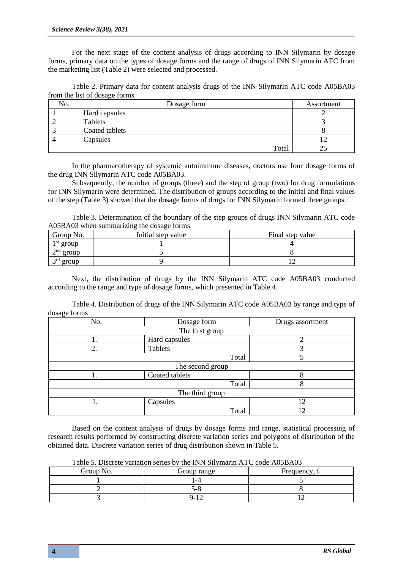For the next stage of the content analysis of drugs according to INN Silymarin by dosage forms, primary data on the types of dosage forms and the range of drugs of INN Silymarin ATC from the marketing list (Table 2) were selected and processed.

Table 2. Primary data for content analysis drugs of the INN Silymarin ATC code A05BA03 from the list of dosage forms

| No. | Dosage form    | Assortment |
|-----|----------------|------------|
|     | Hard capsules  |            |
|     | Tablets        |            |
|     | Coated tablets |            |
|     | Capsules       |            |
|     | Total          |            |

In the pharmacotherapy of systemic autoimmune diseases, doctors use four dosage forms of the drug INN Silymarin ATC code A05BA03.

Subsequently, the number of groups (three) and the step of group (two) for drug formulations for INN Silymarin were determined. The distribution of groups according to the initial and final values of the step (Table 3) showed that the dosage forms of drugs for INN Silymarin formed three groups.

Table 3. Determination of the boundary of the step groups of drugs INN Silymarin ATC code A05BA03 when summarizing the dosage forms

| Group No.                         | Initial step value | Final step value |
|-----------------------------------|--------------------|------------------|
| $1st$ group                       |                    |                  |
| $\boldsymbol{\gamma}$ nd<br>group |                    |                  |
| $\sigma$ rd<br>group              |                    |                  |

Next, the distribution of drugs by the INN Silymarin ATC code A05BA03 conducted according to the range and type of dosage forms, which presented in Table 4.

Table 4. Distribution of drugs of the INN Silymarin ATC code A05BA03 by range and type of dosage forms

| No. | Dosage form      | Drugs assortment |
|-----|------------------|------------------|
|     | The first group  |                  |
|     | Hard capsules    |                  |
| 2.  | Tablets          |                  |
|     | Total            |                  |
|     | The second group |                  |
|     | Coated tablets   | Ω                |
|     | Total            | 8                |
|     | The third group  |                  |
|     | Capsules         | 12               |
|     | Total            | 2                |

Based on the content analysis of drugs by dosage forms and range, statistical processing of research results performed by constructing discrete variation series and polygons of distribution of the obtained data. Discrete variation series of drug distribution shown in Table 5.

| Group No. | Group range | Frequency, f <sub>i</sub> |
|-----------|-------------|---------------------------|
|           | -4          |                           |
|           | , –         |                           |
|           | -           |                           |

Table 5. Discrete variation series by the INN Silymarin ATC code A05BA03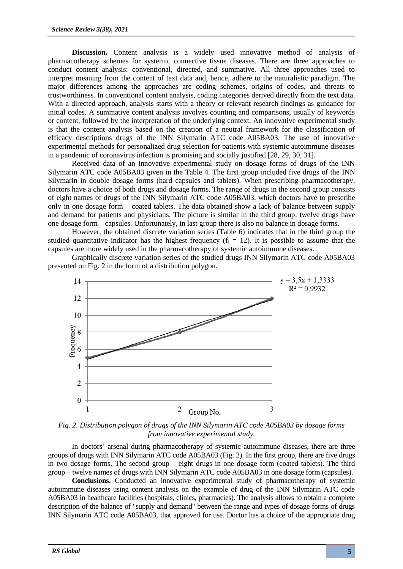**Discussion.** Content analysis is a widely used innovative method of analysis of pharmacotherapy schemes for systemic connective tissue diseases. There are three approaches to conduct content analysis: conventional, directed, and summative. All three approaches used to interpret meaning from the content of text data and, hence, adhere to the naturalistic paradigm. The major differences among the approaches are coding schemes, origins of codes, and threats to trustworthiness. In conventional content analysis, coding categories derived directly from the text data. With a directed approach, analysis starts with a theory or relevant research findings as guidance for initial codes. A summative content analysis involves counting and comparisons, usually of keywords or content, followed by the interpretation of the underlying context. An innovative experimental study is that the content analysis based on the creation of a neutral framework for the classification of efficacy descriptions drugs of the INN Silymarin ATC code A05BA03. The use of innovative experimental methods for personalized drug selection for patients with systemic autoimmune diseases in a pandemic of coronavirus infection is promising and socially justified [28, 29, 30, 31].

Received data of an innovative experimental study on dosage forms of drugs of the INN Silymarin ATC code A05BA03 given in the Table 4. The first group included five drugs of the INN Silymarin in double dosage forms (hard capsules and tablets). When prescribing pharmacotherapy, doctors have a choice of both drugs and dosage forms. The range of drugs in the second group consists of eight names of drugs of the INN Silymarin ATC code A05BA03, which doctors have to prescribe only in one dosage form – coated tablets. The data obtained show a lack of balance between supply and demand for patients and physicians. The picture is similar in the third group: twelve drugs have one dosage form – capsules. Unfortunately, in last group there is also no balance in dosage forms.

However, the obtained discrete variation series (Table 6) indicates that in the third group the studied quantitative indicator has the highest frequency  $(f_i = 12)$ . It is possible to assume that the capsules are more widely used in the pharmacotherapy of systemic autoimmune diseases.

 $y = 3.5x + 1.3333$ 14  $R^2 = 0.9932$ 12 10 Frequency<br> $\infty$  $\overline{4}$  $\overline{2}$ 

Graphically discrete variation series of the studied drugs INN Silymarin ATC code A05BA03 presented on Fig. 2 in the form of a distribution polygon.

*Fig. 2. Distribution polygon of drugs of the INN Silymarin ATC code A05BA03 by dosage forms from innovative experimental study.*

Group No.

2

3

In doctors' arsenal during pharmacotherapy of systemic autoimmune diseases, there are three groups of drugs with INN Silymarin ATC code A05BA03 (Fig. 2). In the first group, there are five drugs in two dosage forms. The second group – eight drugs in one dosage form (coated tablets). The third group – twelve names of drugs with INN Silymarin ATC code A05BA03 in one dosage form (capsules).

**Conclusions.** Conducted an innovative experimental study of pharmacotherapy of systemic autoimmune diseases using content analysis on the example of drug of the INN Silymarin ATC code A05BA03 in healthcare facilities (hospitals, clinics, pharmacies). The analysis allows to obtain a complete description of the balance of "supply and demand" between the range and types of dosage forms of drugs INN Silymarin ATC code A05BA03, that approved for use. Doctor has a choice of the appropriate drug

 $\mathbf{0}$  $\mathbf{1}$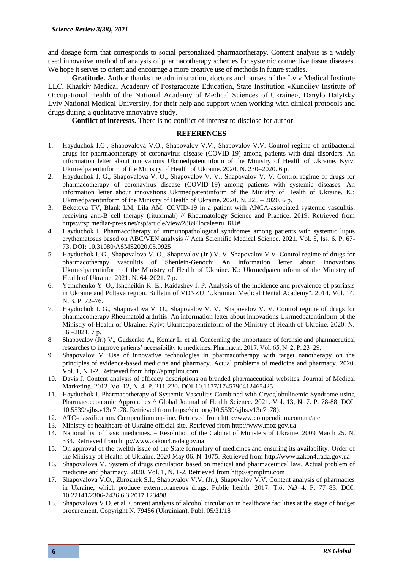and dosage form that corresponds to social personalized pharmacotherapy. Content analysis is a widely used innovative method of analysis of pharmacotherapy schemes for systemic connective tissue diseases. We hope it serves to orient and encourage a more creative use of methods in future studies.

**Gratitude.** Author thanks the administration, doctors and nurses of the Lviv Medical Institute LLC, Kharkiv Medical Academy of Postgraduate Education, State Institution «Kundiiev Institute of Occupational Health of the National Academy of Medical Sciences of Ukraine», Danylo Halytsky Lviv National Medical University, for their help and support when working with clinical protocols and drugs during a qualitative innovative study.

**Conflict of interests.** There is no conflict of interest to disclose for author.

# **REFERENCES**

- 1. Hayduchok I.G., Shapovalova V.O., Shapovalov V.V., Shapovalov V.V. Control regime of antibacterial drugs for pharmacotherapy of coronavirus disease (COVID-19) among patients with dual disorders. An information letter about innovations Ukrmedpatentinform of the Ministry of Health of Ukraine. Kyiv: Ukrmedpatentinform of the Ministry of Health of Ukraine. 2020. N. 230–2020. 6 p.
- 2. Hayduchok I. G., Shapovalova V. O., Shapovalov V. V., Shapovalov V. V. Control regime of drugs for pharmacotherapy of coronavirus disease (COVID-19) among patients with systemic diseases. An information letter about innovations Ukrmedpatentinform of the Ministry of Health of Ukraine. K.: Ukrmedpatentinform of the Ministry of Health of Ukraine. 2020. N. 225 – 2020. 6 p.
- 3. Beketova TV, Blank LM, Lila AM. COVID-19 in a patient with ANCA-associated systemic vasculitis, receiving anti-B cell therapy (rituximab) // Rheumatology Science and Practice. 2019. Retrieved from https://rsp.mediar-press.net/rsp/article/view/2889?locale=ru\_RU#
- 4. Hayduchok I. Pharmacotherapy of immunopathological syndromes among patients with systemic lupus erythematosus based on ABC/VEN analysis // Acta Scientific Medical Science*.* 2021. Vol. 5, Iss. 6. P. 67- 73. DOI: 10.31080/ASMS2020.05.0925
- 5. Hayduchok I. G., Shapovalova V. O., Shapovalov (Jr.) V. V. Shapovalov V.V. Control regime of drugs for pharmacotherapy vasculitis of Shenlein-Genoch: An information letter about innovations Ukrmedpatentinform of the Ministry of Health of Ukraine. K.: Ukrmedpatentinform of the Ministry of Health of Ukraine, 2021. N. 64–2021. 7 p.
- 6. Yemchenko Y. O., Ishcheikin K. E., Kaidashev I. P. Analysis of the incidence and prevalence of psoriasis in Ukraine and Poltava region. Bulletin of VDNZU "Ukrainian Medical Dental Academy". 2014. Vol. 14, N. 3. P. 72–76.
- 7. Hayduchok I. G., Shapovalova V. O., Shapovalov V. V., Shapovalov V. V. Control regime of drugs for pharmacotherapy Rheumatoid arthritis. An information letter about innovations Ukrmedpatentinform of the Ministry of Health of Ukraine. Kyiv: Ukrmedpatentinform of the Ministry of Health of Ukraine. 2020. N. 36 –2021. 7 p.
- 8. Shapovalov (Jr.) V., Gudzenko A., Komar L. et al. Concerning the importance of forensic and pharmaceutical researches to improve patients' accessibility to medicines. Pharmacia. 2017. Vol. 65, N. 2. P. 23–29.
- 9. Shapovalov V. Use of innovative technologies in pharmacotherapy with target nanotherapy on the principles of evidence-based medicine and pharmacy. Actual problems of medicine and pharmacy*.* 2020. Vol. 1, N 1-2. Retrieved from http://apmplmi.com
- 10. Davis J. Content analysis of efficacy descriptions on branded pharmaceutical websites. Journal of Medical Marketing. 2012. Vol.12, N. 4. Р. 211-220**.** DOI:10.1177/1745790412465425.
- 11. Hayduchok I*.* Pharmacotherapy of Systemic Vasculitis Combined with Cryoglobulinemic Syndrome using Pharmacoeconomic Approaches // Global Journal of Health Science. 2021. Vol. 13, N. 7. P. 78-88. DOI: 10.5539/gjhs.v13n7p78. Retrieved from https://doi.org/10.5539/gjhs.v13n7p78).
- 12. ATC-classification*.* Compendium on-line. Retrieved from http://www.compendium.com.ua/atc
- 13. Ministry of healthcare of Ukraine official site. Retrieved from http://www.moz.gov.ua
- 14. National list of basic medicines. Resolution of the Cabinet of Ministers of Ukraine. 2009 March 25. N. 333. Retrieved from http://www.zakon4.rada.gov.ua
- 15. On approval of the twelfth issue of the State formulary of medicines and ensuring its availability. Order of the Ministry of Health of Ukraine. 2020 May 06. N. 1075. Retrieved from http://www.zakon4.rada.gov.ua
- 16. Shapovalova V. System of drugs circulation based on medical and pharmaceutical law. Actual problem of medicine and pharmacy*.* 2020. Vol. 1, N. 1-2. Retrieved from http://apmplmi.com
- 17. Shapovalova V.O., Zbrozhek S.I., Shapovalov V.V. (Jr.), Shapovalov V.V. Content analysis of pharmacies in Ukraine, which produce extemporaneous drugs. Public health. 2017. T.6, №3–4. P. 77–83. DOI: 10.22141/2306-2436.6.3.2017.123498
- 18. Shapovalova V.O. et al. Content analysis of alcohol circulation in healthcare facilities at the stage of budget procurement. Copyright N. 79456 (Ukrainian). Publ. 05/31/18